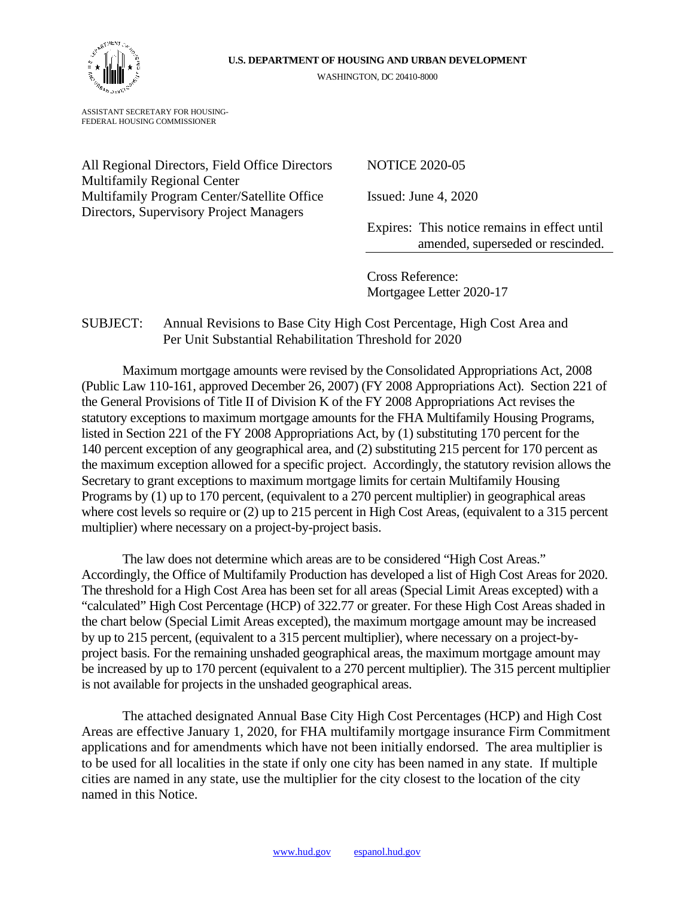

WASHINGTON, DC 20410-8000

ASSISTANT SECRETARY FOR HOUSING-FEDERAL HOUSING COMMISSIONER

All Regional Directors, Field Office Directors NOTICE 2020-05 Multifamily Regional Center Multifamily Program Center/Satellite Office Issued: June 4, 2020 Directors, Supervisory Project Managers

Expires: This notice remains in effect until amended, superseded or rescinded.

Cross Reference: Mortgagee Letter 2020-17

### SUBJECT: Annual Revisions to Base City High Cost Percentage, High Cost Area and Per Unit Substantial Rehabilitation Threshold for 2020

Maximum mortgage amounts were revised by the Consolidated Appropriations Act, 2008 (Public Law 110-161, approved December 26, 2007) (FY 2008 Appropriations Act). Section 221 of the General Provisions of Title II of Division K of the FY 2008 Appropriations Act revises the statutory exceptions to maximum mortgage amounts for the FHA Multifamily Housing Programs, listed in Section 221 of the FY 2008 Appropriations Act, by (1) substituting 170 percent for the 140 percent exception of any geographical area, and (2) substituting 215 percent for 170 percent as the maximum exception allowed for a specific project. Accordingly, the statutory revision allows the Secretary to grant exceptions to maximum mortgage limits for certain Multifamily Housing Programs by (1) up to 170 percent, (equivalent to a 270 percent multiplier) in geographical areas where cost levels so require or (2) up to 215 percent in High Cost Areas, (equivalent to a 315 percent multiplier) where necessary on a project-by-project basis.

The law does not determine which areas are to be considered "High Cost Areas." Accordingly, the Office of Multifamily Production has developed a list of High Cost Areas for 2020. The threshold for a High Cost Area has been set for all areas (Special Limit Areas excepted) with a "calculated" High Cost Percentage (HCP) of 322.77 or greater. For these High Cost Areas shaded in the chart below (Special Limit Areas excepted), the maximum mortgage amount may be increased by up to 215 percent, (equivalent to a 315 percent multiplier), where necessary on a project-byproject basis. For the remaining unshaded geographical areas, the maximum mortgage amount may be increased by up to 170 percent (equivalent to a 270 percent multiplier). The 315 percent multiplier is not available for projects in the unshaded geographical areas.

The attached designated Annual Base City High Cost Percentages (HCP) and High Cost Areas are effective January 1, 2020, for FHA multifamily mortgage insurance Firm Commitment applications and for amendments which have not been initially endorsed. The area multiplier is to be used for all localities in the state if only one city has been named in any state. If multiple cities are named in any state, use the multiplier for the city closest to the location of the city named in this Notice.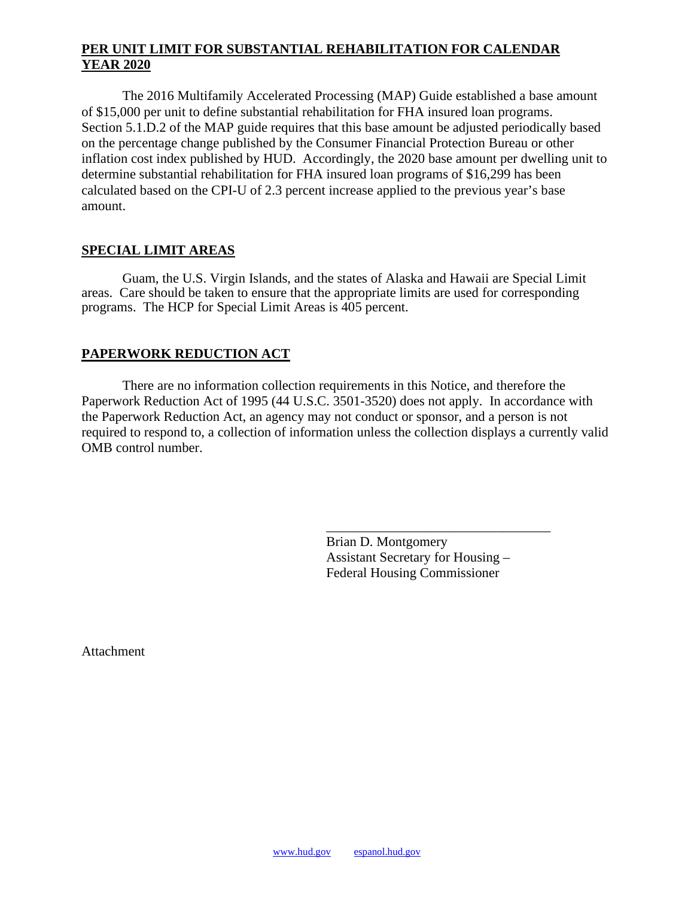## **PER UNIT LIMIT FOR SUBSTANTIAL REHABILITATION FOR CALENDAR YEAR 2020**

The 2016 Multifamily Accelerated Processing (MAP) Guide established a base amount of \$15,000 per unit to define substantial rehabilitation for FHA insured loan programs. Section 5.1.D.2 of the MAP guide requires that this base amount be adjusted periodically based on the percentage change published by the Consumer Financial Protection Bureau or other inflation cost index published by HUD. Accordingly, the 2020 base amount per dwelling unit to determine substantial rehabilitation for FHA insured loan programs of \$16,299 has been calculated based on the CPI-U of 2.3 percent increase applied to the previous year's base amount.

## **SPECIAL LIMIT AREAS**

Guam, the U.S. Virgin Islands, and the states of Alaska and Hawaii are Special Limit areas. Care should be taken to ensure that the appropriate limits are used for corresponding programs. The HCP for Special Limit Areas is 405 percent.

# **PAPERWORK REDUCTION ACT**

There are no information collection requirements in this Notice, and therefore the Paperwork Reduction Act of 1995 (44 U.S.C. 3501-3520) does not apply. In accordance with the Paperwork Reduction Act, an agency may not conduct or sponsor, and a person is not required to respond to, a collection of information unless the collection displays a currently valid OMB control number.

> Brian D. Montgomery Assistant Secretary for Housing – Federal Housing Commissioner

\_\_\_\_\_\_\_\_\_\_\_\_\_\_\_\_\_\_\_\_\_\_\_\_\_\_\_\_\_\_\_\_\_

Attachment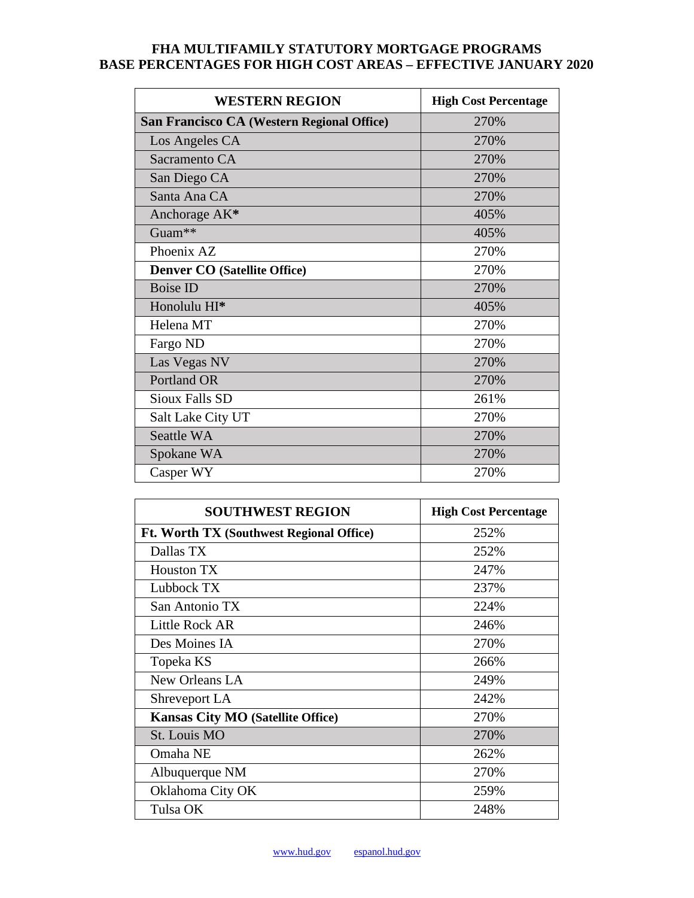## **FHA MULTIFAMILY STATUTORY MORTGAGE PROGRAMS BASE PERCENTAGES FOR HIGH COST AREAS – EFFECTIVE JANUARY 2020**

| <b>WESTERN REGION</b>                      | <b>High Cost Percentage</b> |
|--------------------------------------------|-----------------------------|
| San Francisco CA (Western Regional Office) | 270%                        |
| Los Angeles CA                             | 270%                        |
| Sacramento CA                              | 270%                        |
| San Diego CA                               | 270%                        |
| Santa Ana CA                               | 270%                        |
| Anchorage AK*                              | 405%                        |
| Guam**                                     | 405%                        |
| Phoenix AZ                                 | 270%                        |
| <b>Denver CO</b> (Satellite Office)        | 270%                        |
| <b>Boise ID</b>                            | 270%                        |
| Honolulu HI*                               | 405%                        |
| Helena MT                                  | 270%                        |
| Fargo ND                                   | 270%                        |
| Las Vegas NV                               | 270%                        |
| Portland OR                                | 270%                        |
| Sioux Falls SD                             | 261%                        |
| Salt Lake City UT                          | 270%                        |
| Seattle WA                                 | 270%                        |
| Spokane WA                                 | 270%                        |
| Casper WY                                  | 270%                        |

| <b>SOUTHWEST REGION</b>                  | <b>High Cost Percentage</b> |
|------------------------------------------|-----------------------------|
| Ft. Worth TX (Southwest Regional Office) | 252%                        |
| Dallas TX                                | 252%                        |
| Houston TX                               | 247%                        |
| Lubbock TX                               | 237%                        |
| San Antonio TX                           | 224%                        |
| Little Rock AR                           | 246%                        |
| Des Moines IA                            | 270%                        |
| Topeka KS                                | 266%                        |
| New Orleans LA                           | 249%                        |
| Shreveport LA                            | 242%                        |
| <b>Kansas City MO (Satellite Office)</b> | 270%                        |
| St. Louis MO                             | 270%                        |
| Omaha NE                                 | 262%                        |
| Albuquerque NM                           | 270%                        |
| Oklahoma City OK                         | 259%                        |
| Tulsa OK                                 | 248%                        |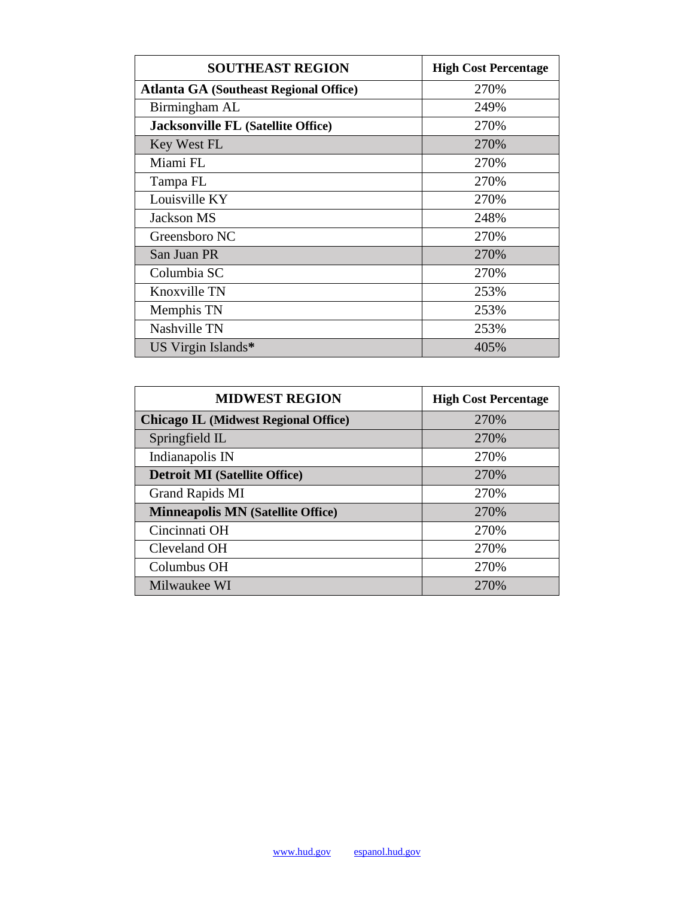| <b>SOUTHEAST REGION</b>                       | <b>High Cost Percentage</b> |
|-----------------------------------------------|-----------------------------|
| <b>Atlanta GA (Southeast Regional Office)</b> | 270%                        |
| Birmingham AL                                 | 249%                        |
| <b>Jacksonville FL (Satellite Office)</b>     | 270%                        |
| Key West FL                                   | 270%                        |
| Miami FL                                      | 270%                        |
| Tampa FL                                      | 270%                        |
| Louisville KY                                 | 270%                        |
| Jackson MS                                    | 248%                        |
| Greensboro NC                                 | 270%                        |
| San Juan PR                                   | 270%                        |
| Columbia SC                                   | 270%                        |
| Knoxville TN                                  | 253%                        |
| Memphis TN                                    | 253%                        |
| Nashville TN                                  | 253%                        |
| US Virgin Islands*                            | 405%                        |

| <b>MIDWEST REGION</b>                       | <b>High Cost Percentage</b> |
|---------------------------------------------|-----------------------------|
| <b>Chicago IL (Midwest Regional Office)</b> | 270%                        |
| Springfield IL                              | 270%                        |
| Indianapolis IN                             | 270%                        |
| <b>Detroit MI</b> (Satellite Office)        | 270%                        |
| Grand Rapids MI                             | 270\%                       |
| <b>Minneapolis MN (Satellite Office)</b>    | 270%                        |
| Cincinnati OH                               | 270\%                       |
| Cleveland OH                                | 270%                        |
| Columbus OH                                 | 270%                        |
| Milwaukee WI                                | 270\%                       |